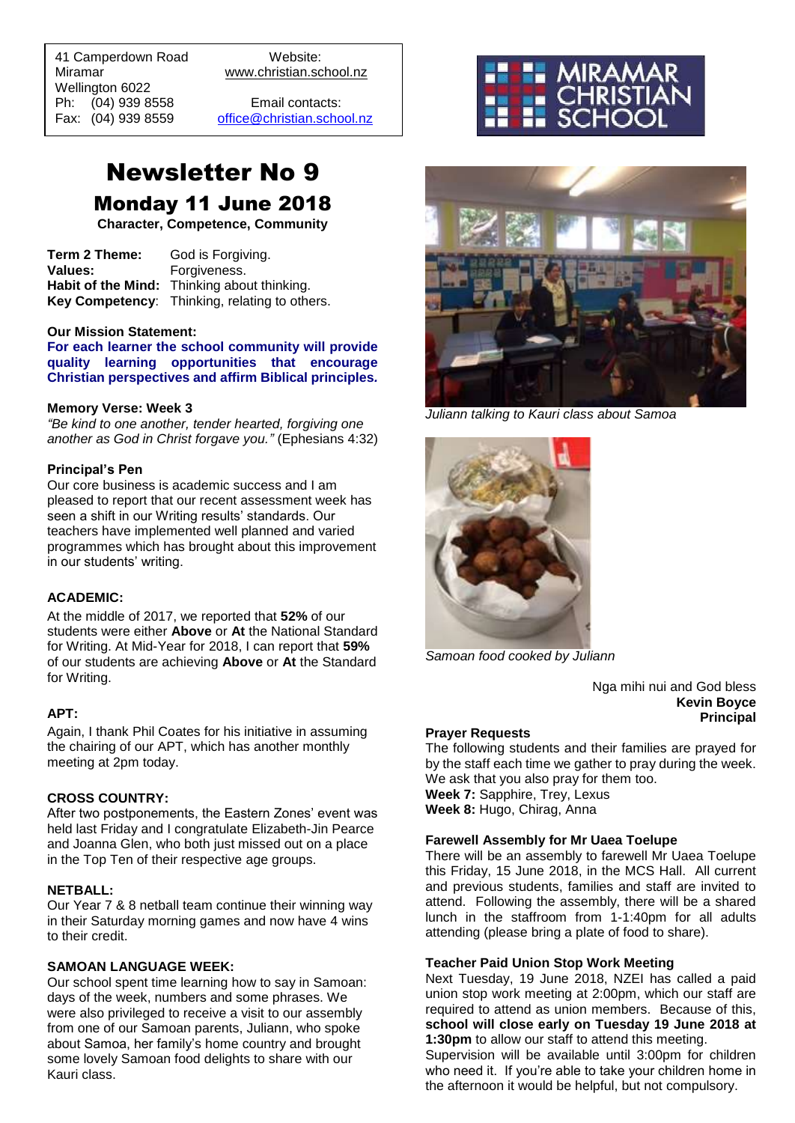41 Camperdown Road Website: Miramar www.christian.school.nz Wellington 6022 Ph: (04) 939 8558 Email contacts:

 $\overline{a}$ 

Fax: (04) 939 8559 [office@christian.school.nz](mailto:office@christian.school.nz)

# Newsletter No 9 Monday 11 June 2018

**Character, Competence, Community**

**Term 2 Theme:** God is Forgiving. **Values:** Forgiveness. **Habit of the Mind:** Thinking about thinking. **Key Competency**: Thinking, relating to others.

## **Our Mission Statement:**

**For each learner the school community will provide quality learning opportunities that encourage Christian perspectives and affirm Biblical principles***.*

#### **Memory Verse: Week 3**

*"Be kind to one another, tender hearted, forgiving one another as God in Christ forgave you."* (Ephesians 4:32)

#### **Principal's Pen**

Our core business is academic success and I am pleased to report that our recent assessment week has seen a shift in our Writing results' standards. Our teachers have implemented well planned and varied programmes which has brought about this improvement in our students' writing.

#### **ACADEMIC:**

At the middle of 2017, we reported that **52%** of our students were either **Above** or **At** the National Standard for Writing. At Mid-Year for 2018, I can report that **59%**  of our students are achieving **Above** or **At** the Standard for Writing.

#### **APT:**

Again, I thank Phil Coates for his initiative in assuming the chairing of our APT, which has another monthly meeting at 2pm today.

#### **CROSS COUNTRY:**

After two postponements, the Eastern Zones' event was held last Friday and I congratulate Elizabeth-Jin Pearce and Joanna Glen, who both just missed out on a place in the Top Ten of their respective age groups.

#### **NETBALL:**

Our Year 7 & 8 netball team continue their winning way in their Saturday morning games and now have 4 wins to their credit.

## **SAMOAN LANGUAGE WEEK:**

Our school spent time learning how to say in Samoan: days of the week, numbers and some phrases. We were also privileged to receive a visit to our assembly from one of our Samoan parents, Juliann, who spoke about Samoa, her family's home country and brought some lovely Samoan food delights to share with our Kauri class.





*Juliann talking to Kauri class about Samoa*



*Samoan food cooked by Juliann*

Nga mihi nui and God bless **Kevin Boyce Principal**

#### **Prayer Requests**

The following students and their families are prayed for by the staff each time we gather to pray during the week. We ask that you also pray for them too. **Week 7:** Sapphire, Trey, Lexus **Week 8:** Hugo, Chirag, Anna

## **Farewell Assembly for Mr Uaea Toelupe**

There will be an assembly to farewell Mr Uaea Toelupe this Friday, 15 June 2018, in the MCS Hall. All current and previous students, families and staff are invited to attend. Following the assembly, there will be a shared lunch in the staffroom from 1-1:40pm for all adults attending (please bring a plate of food to share).

#### **Teacher Paid Union Stop Work Meeting**

Next Tuesday, 19 June 2018, NZEI has called a paid union stop work meeting at 2:00pm, which our staff are required to attend as union members. Because of this, **school will close early on Tuesday 19 June 2018 at 1:30pm** to allow our staff to attend this meeting.

Supervision will be available until 3:00pm for children who need it. If you're able to take your children home in the afternoon it would be helpful, but not compulsory.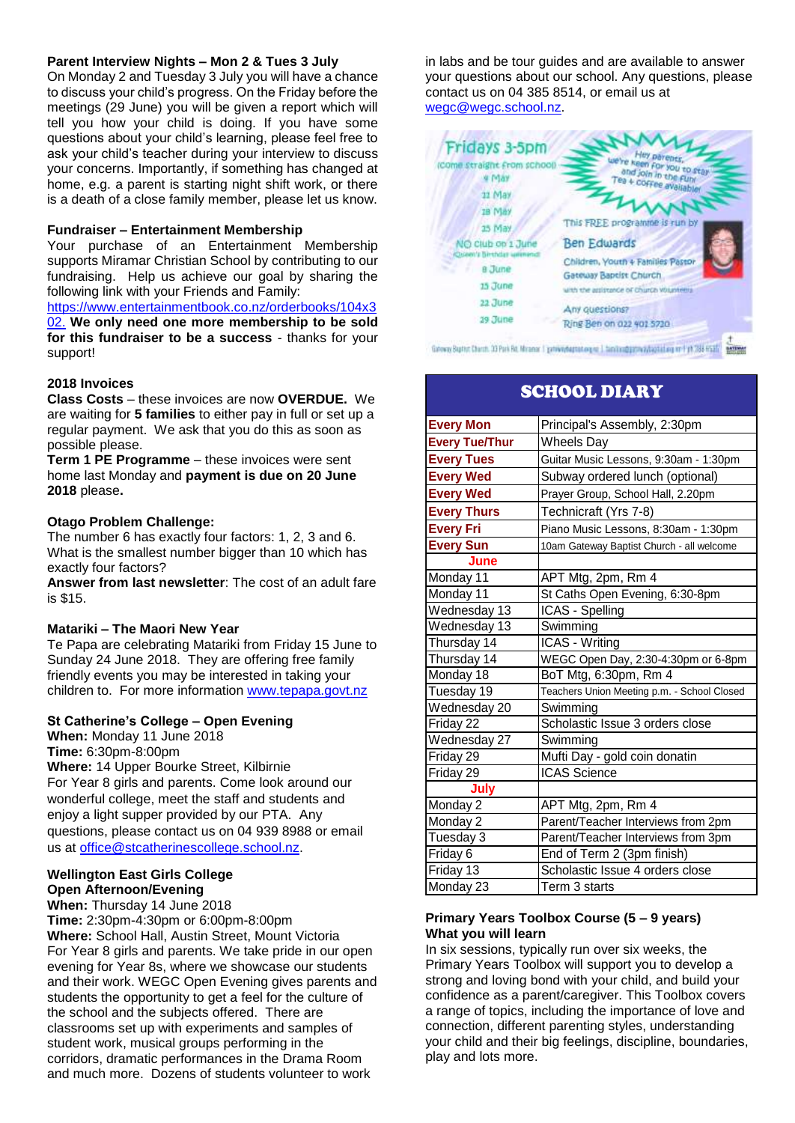## **Parent Interview Nights – Mon 2 & Tues 3 July**

On Monday 2 and Tuesday 3 July you will have a chance to discuss your child's progress. On the Friday before the meetings (29 June) you will be given a report which will tell you how your child is doing. If you have some questions about your child's learning, please feel free to ask your child's teacher during your interview to discuss your concerns. Importantly, if something has changed at home, e.g. a parent is starting night shift work, or there is a death of a close family member, please let us know.

#### **Fundraiser – Entertainment Membership**

Your purchase of an Entertainment Membership supports Miramar Christian School by contributing to our fundraising. Help us achieve our goal by sharing the following link with your Friends and Family:

[https://www.entertainmentbook.co.nz/orderbooks/104x3](https://www.entertainmentbook.co.nz/orderbooks/104x302) [02.](https://www.entertainmentbook.co.nz/orderbooks/104x302) **We only need one more membership to be sold for this fundraiser to be a success** - thanks for your support!

## **2018 Invoices**

**Class Costs** – these invoices are now **OVERDUE.** We are waiting for **5 families** to either pay in full or set up a regular payment. We ask that you do this as soon as possible please.

**Term 1 PE Programme** – these invoices were sent home last Monday and **payment is due on 20 June 2018** please**.**

## **Otago Problem Challenge:**

The number 6 has exactly four factors: 1, 2, 3 and 6. What is the smallest number bigger than 10 which has exactly four factors?

**Answer from last newsletter**: The cost of an adult fare is \$15.

## **Matariki – The Maori New Year**

Te Papa are celebrating Matariki from Friday 15 June to Sunday 24 June 2018. They are offering free family friendly events you may be interested in taking your children to. For more information [www.tepapa.govt.nz](http://www.tepapa.govt.nz/)

## **St Catherine's College – Open Evening**

**When:** Monday 11 June 2018 **Time:** 6:30pm-8:00pm **Where:** 14 Upper Bourke Street, Kilbirnie For Year 8 girls and parents. Come look around our wonderful college, meet the staff and students and enjoy a light supper provided by our PTA. Any questions, please contact us on 04 939 8988 or email us at [office@stcatherinescollege.school.nz.](mailto:office@stcatherinescollege.school.nz)

## **Wellington East Girls College Open Afternoon/Evening**

**When:** Thursday 14 June 2018 **Time:** 2:30pm-4:30pm or 6:00pm-8:00pm **Where:** School Hall, Austin Street, Mount Victoria For Year 8 girls and parents. We take pride in our open evening for Year 8s, where we showcase our students and their work. WEGC Open Evening gives parents and students the opportunity to get a feel for the culture of the school and the subjects offered. There are classrooms set up with experiments and samples of student work, musical groups performing in the corridors, dramatic performances in the Drama Room and much more. Dozens of students volunteer to work

in labs and be tour guides and are available to answer your questions about our school. Any questions, please contact us on 04 385 8514, or email us at [wegc@wegc.school.nz.](mailto:wegc@wegc.school.nz)



# SCHOOL DIARY

| <b>Every Mon</b>      | Principal's Assembly, 2:30pm                |
|-----------------------|---------------------------------------------|
| <b>Every Tue/Thur</b> | <b>Wheels Day</b>                           |
| <b>Every Tues</b>     | Guitar Music Lessons, 9:30am - 1:30pm       |
| <b>Every Wed</b>      | Subway ordered lunch (optional)             |
| <b>Every Wed</b>      | Prayer Group, School Hall, 2.20pm           |
| <b>Every Thurs</b>    | Technicraft (Yrs 7-8)                       |
| <b>Every Fri</b>      | Piano Music Lessons, 8:30am - 1:30pm        |
| <b>Every Sun</b>      | 10am Gateway Baptist Church - all welcome   |
| June                  |                                             |
| Monday 11             | APT Mtg, 2pm, Rm 4                          |
| Monday 11             | St Caths Open Evening, 6:30-8pm             |
| Wednesday 13          | ICAS - Spelling                             |
| Wednesday 13          | Swimming                                    |
| Thursday 14           | ICAS - Writing                              |
| Thursday 14           | WEGC Open Day, 2:30-4:30pm or 6-8pm         |
| Monday 18             | BoT Mtg, 6:30pm, Rm 4                       |
| Tuesday 19            | Teachers Union Meeting p.m. - School Closed |
| Wednesday 20          | Swimming                                    |
| Friday 22             | Scholastic Issue 3 orders close             |
| Wednesday 27          | Swimming                                    |
| Friday 29             | Mufti Day - gold coin donatin               |
| Friday 29             | <b>ICAS</b> Science                         |
| July                  |                                             |
| Monday 2              | APT Mtg, 2pm, Rm 4                          |
| Monday 2              | Parent/Teacher Interviews from 2pm          |
| Tuesday 3             | Parent/Teacher Interviews from 3pm          |
| Friday 6              | End of Term 2 (3pm finish)                  |
| Friday 13             | Scholastic Issue 4 orders close             |
| Monday 23             | Term 3 starts                               |

#### **Primary Years Toolbox Course (5 – 9 years) What you will learn**

In six sessions, typically run over six weeks, the Primary Years Toolbox will support you to develop a strong and loving bond with your child, and build your confidence as a parent/caregiver. This Toolbox covers a range of topics, including the importance of love and connection, different parenting styles, understanding your child and their big feelings, discipline, boundaries, play and lots more.